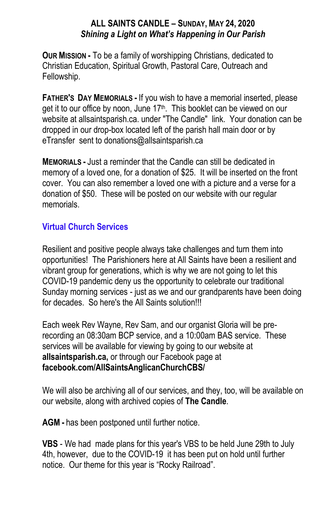## **ALL SAINTS CANDLE – SUNDAY, MAY 24, 2020** *Shining a Light on What's Happening in Our Parish*

**OUR MISSION -** To be a family of worshipping Christians, dedicated to Christian Education, Spiritual Growth, Pastoral Care, Outreach and Fellowship.

**FATHER'S DAY MEMORIALS -** If you wish to have a memorial inserted, please get it to our office by noon, June 17<sup>th</sup>. This booklet can be viewed on our website at allsaintsparish.ca. under "The Candle" link. Your donation can be dropped in our drop-box located left of the parish hall main door or by eTransfer sent to donations@allsaintsparish.ca

**MEMORIALS -** Just a reminder that the Candle can still be dedicated in memory of a loved one, for a donation of \$25. It will be inserted on the front cover. You can also remember a loved one with a picture and a verse for a donation of \$50. These will be posted on our website with our regular memorials.

## **Virtual Church Services**

Resilient and positive people always take challenges and turn them into opportunities! The Parishioners here at All Saints have been a resilient and vibrant group for generations, which is why we are not going to let this COVID-19 pandemic deny us the opportunity to celebrate our traditional Sunday morning services - just as we and our grandparents have been doing for decades. So here's the All Saints solution!!!

Each week Rev Wayne, Rev Sam, and our organist Gloria will be prerecording an 08:30am BCP service, and a 10:00am BAS service. These services will be available for viewing by going to our website at **allsaintsparish.ca,** or through our Facebook page at **facebook.com/AllSaintsAnglicanChurchCBS/**

We will also be archiving all of our services, and they, too, will be available on our website, along with archived copies of **The Candle**.

**AGM -** has been postponed until further notice.

**VBS** - We had made plans for this year's VBS to be held June 29th to July 4th, however, due to the COVID-19 it has been put on hold until further notice. Our theme for this year is "Rocky Railroad".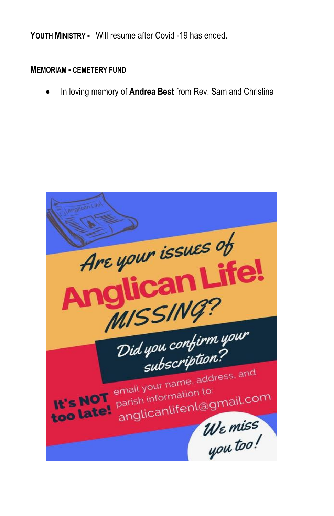**YOUTH MINISTRY -** Will resume after Covid -19 has ended.

## **MEMORIAM - CEMETERY FUND**

In loving memory of **Andrea Best** from Rev. Sam and Christina